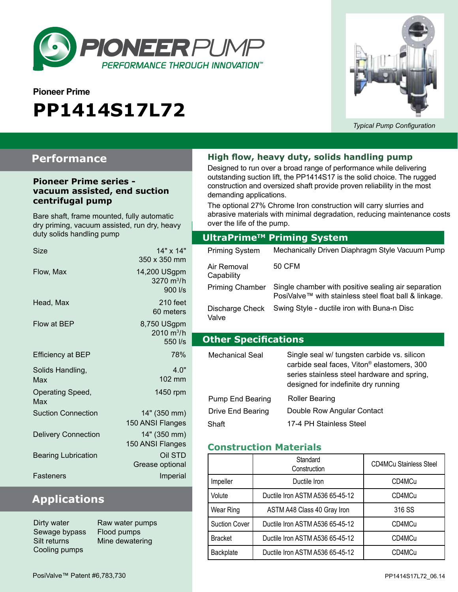

# **Pioneer Prime PP1414S17L72**



*Typical Pump Configuration*

### **Performance**

#### **Pioneer Prime series vacuum assisted, end suction centrifugal pump**

Bare shaft, frame mounted, fully automatic dry priming, vacuum assisted, run dry, heavy duty solids handling pump

| Size                       | 14" x 14"<br>350 x 350 mm                      |
|----------------------------|------------------------------------------------|
| Flow, Max                  | 14,200 USgpm<br>3270 $m^3/h$<br>900 l/s        |
| Head, Max                  | $210$ feet<br>60 meters                        |
| Flow at BEP                | 8,750 USgpm<br>$2010 \text{ m}^3/h$<br>550 l/s |
| <b>Efficiency at BEP</b>   | 78%                                            |
| Solids Handling,<br>Max    | 40"<br>102 mm                                  |
| Operating Speed,<br>Max    | 1450 rpm                                       |
| <b>Suction Connection</b>  | 14" (350 mm)<br>150 ANSI Flanges               |
| <b>Delivery Connection</b> | 14" (350 mm)<br>150 ANSI Flanges               |
| <b>Bearing Lubrication</b> | Oil STD<br>Grease optional                     |
| Fasteners                  | Imperial                                       |

# **Applications**

Dirty water **Raw water pumps** Sewage bypass Flood pumps Silt returns Mine dewatering Cooling pumps

#### **High flow, heavy duty, solids handling pump**

Designed to run over a broad range of performance while delivering outstanding suction lift, the PP1414S17 is the solid choice. The rugged construction and oversized shaft provide proven reliability in the most demanding applications.

over the life of the pump.<br>———————————————————— The optional 27% Chrome Iron construction will carry slurries and abrasive materials with minimal degradation, reducing maintenance costs

|                             | UltraPrime™ Priming System                                                                                                                                                                  |  |  |
|-----------------------------|---------------------------------------------------------------------------------------------------------------------------------------------------------------------------------------------|--|--|
| <b>Priming System</b>       | Mechanically Driven Diaphragm Style Vacuum Pump                                                                                                                                             |  |  |
| Air Removal<br>Capability   | 50 CFM                                                                                                                                                                                      |  |  |
| <b>Priming Chamber</b>      | Single chamber with positive sealing air separation<br>PosiValve™ with stainless steel float ball & linkage.                                                                                |  |  |
| Discharge Check<br>Valve    | Swing Style - ductile iron with Buna-n Disc                                                                                                                                                 |  |  |
| <b>Other Specifications</b> |                                                                                                                                                                                             |  |  |
| Mechanical Seal             | Single seal w/ tungsten carbide vs. silicon<br>carbide seal faces, Viton <sup>®</sup> elastomers, 300<br>series stainless steel hardware and spring,<br>designed for indefinite dry running |  |  |
|                             | - - - -                                                                                                                                                                                     |  |  |

| Pump End Bearing  | <b>Roller Bearing</b>      |
|-------------------|----------------------------|
| Drive End Bearing | Double Row Angular Contact |
| Shaft             | 17-4 PH Stainless Steel    |

#### **Construction Materials**

|                      | Standard<br>Construction        | <b>CD4MCu Stainless Steel</b> |
|----------------------|---------------------------------|-------------------------------|
| Impeller             | Ductile Iron                    | CD4MCu                        |
| Volute               | Ductile Iron ASTM A536 65-45-12 | CD4MCu                        |
| Wear Ring            | ASTM A48 Class 40 Gray Iron     | 316 SS                        |
| <b>Suction Cover</b> | Ductile Iron ASTM A536 65-45-12 | CD4MCu                        |
| <b>Bracket</b>       | Ductile Iron ASTM A536 65-45-12 | CD4MCu                        |
| Backplate            | Ductile Iron ASTM A536 65-45-12 | CD4MCu                        |